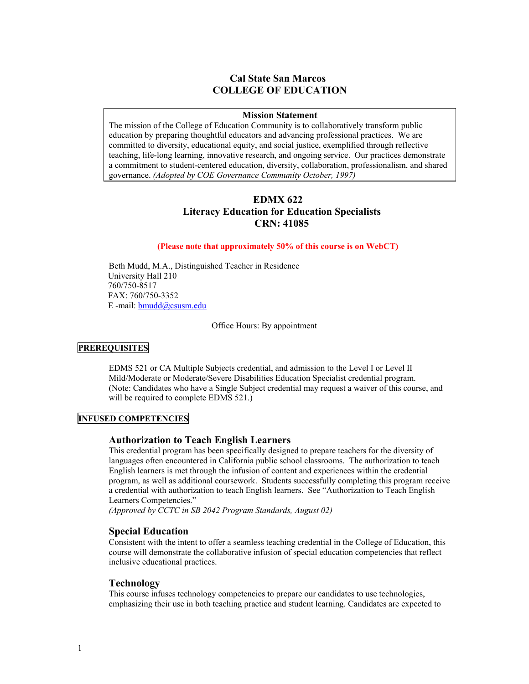# **Cal State San Marcos COLLEGE OF EDUCATION**

#### **Mission Statement**

The mission of the College of Education Community is to collaboratively transform public education by preparing thoughtful educators and advancing professional practices. We are committed to diversity, educational equity, and social justice, exemplified through reflective teaching, life-long learning, innovative research, and ongoing service. Our practices demonstrate a commitment to student-centered education, diversity, collaboration, professionalism, and shared governance. *(Adopted by COE Governance Community October, 1997)*

# **EDMX 622 Literacy Education for Education Specialists CRN: 41085**

#### **(Please note that approximately 50% of this course is on WebCT)**

Beth Mudd, M.A., Distinguished Teacher in Residence University Hall 210 760/750-8517 FAX: 760/750-3352 E -mail: bmudd@csusm.edu

Office Hours: By appointment

# **PREREQUISITES**

EDMS 521 or CA Multiple Subjects credential, and admission to the Level I or Level II Mild/Moderate or Moderate/Severe Disabilities Education Specialist credential program. (Note: Candidates who have a Single Subject credential may request a waiver of this course, and will be required to complete EDMS 521.)

# **INFUSED COMPETENCIES**

#### **Authorization to Teach English Learners**

This credential program has been specifically designed to prepare teachers for the diversity of languages often encountered in California public school classrooms. The authorization to teach English learners is met through the infusion of content and experiences within the credential program, as well as additional coursework. Students successfully completing this program receive a credential with authorization to teach English learners. See "Authorization to Teach English Learners Competencies."

*(Approved by CCTC in SB 2042 Program Standards, August 02)* 

# **Special Education**

Consistent with the intent to offer a seamless teaching credential in the College of Education, this course will demonstrate the collaborative infusion of special education competencies that reflect inclusive educational practices.

#### **Technology**

This course infuses technology competencies to prepare our candidates to use technologies, emphasizing their use in both teaching practice and student learning. Candidates are expected to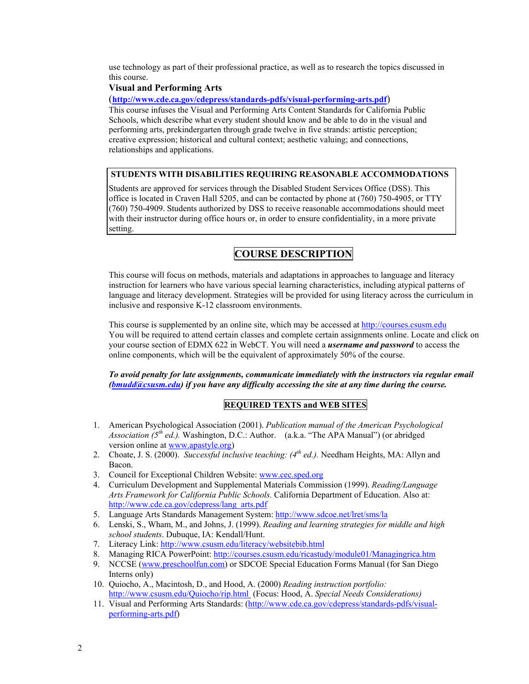use technology as part of their professional practice, as well as to research the topics discussed in this course.

# **Visual and Performing Arts**

(**http://www.cde.ca.gov/cdepress/standards-pdfs/visual-performing-arts.pdf**)

This course infuses the Visual and Performing Arts Content Standards for California Public Schools, which describe what every student should know and be able to do in the visual and performing arts, prekindergarten through grade twelve in five strands: artistic perception; creative expression; historical and cultural context; aesthetic valuing; and connections, relationships and applications.

# **STUDENTS WITH DISABILITIES REQUIRING REASONABLE ACCOMMODATIONS**

Students are approved for services through the Disabled Student Services Office (DSS). This office is located in Craven Hall 5205, and can be contacted by phone at (760) 750-4905, or TTY (760) 750-4909. Students authorized by DSS to receive reasonable accommodations should meet with their instructor during office hours or, in order to ensure confidentiality, in a more private setting.

# **COURSE DESCRIPTION**

This course will focus on methods, materials and adaptations in approaches to language and literacy instruction for learners who have various special learning characteristics, including atypical patterns of language and literacy development. Strategies will be provided for using literacy across the curriculum in inclusive and responsive K-12 classroom environments.

This course is supplemented by an online site, which may be accessed at http://courses.csusm.edu You will be required to attend certain classes and complete certain assignments online. Locate and click on your course section of EDMX 622 in WebCT. You will need a *username and password* to access the online components, which will be the equivalent of approximately 50% of the course.

*To avoid penalty for late assignments, communicate immediately with the instructors via regular email (bmudd@csusm.edu) if you have any difficulty accessing the site at any time during the course.* 

# **REQUIRED TEXTS and WEB SITES**

- 1. American Psychological Association (2001). *Publication manual of the American Psychological Association*  $(5^{th}$  *ed.).* Washington, D.C.: Author. *(a.k.a.* "The APA Manual") (or abridged version online at www.apastyle.org)
- 2. Choate, J. S. (2000). *Successful inclusive teaching: (4th ed.).* Needham Heights, MA: Allyn and Bacon.
- 3. Council for Exceptional Children Website: www.cec.sped.org
- 4. Curriculum Development and Supplemental Materials Commission (1999). *Reading/Language Arts Framework for California Public Schools.* California Department of Education. Also at: http://www.cde.ca.gov/cdepress/lang\_arts.pdf
- 5. Language Arts Standards Management System: http://www.sdcoe.net/lret/sms/la
- 6. Lenski, S., Wham, M., and Johns, J. (1999). *Reading and learning strategies for middle and high school students*. Dubuque, IA: Kendall/Hunt.
- 7. Literacy Link: http://www.csusm.edu/literacy/websitebib.html
- 8. Managing RICA PowerPoint: http://courses.csusm.edu/ricastudy/module01/Managingrica.htm
- 9. NCCSE (www.preschoolfun.com) or SDCOE Special Education Forms Manual (for San Diego Interns only)
- 10. Quiocho, A., Macintosh, D., and Hood, A. (2000) *Reading instruction portfolio:* http://www.csusm.edu/Quiocho/rip.html (Focus: Hood, A. *Special Needs Considerations)*
- 11. Visual and Performing Arts Standards: (http://www.cde.ca.gov/cdepress/standards-pdfs/visualperforming-arts.pdf)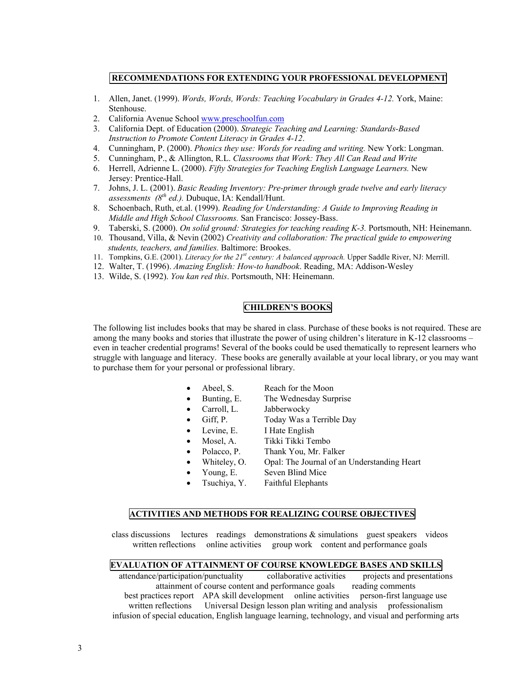#### **RECOMMENDATIONS FOR EXTENDING YOUR PROFESSIONAL DEVELOPMENT**

- 1. Allen, Janet. (1999). *Words, Words, Words: Teaching Vocabulary in Grades 4-12.* York, Maine: Stenhouse.
- 2. California Avenue School www.preschoolfun.com
- 3. California Dept. of Education (2000). *Strategic Teaching and Learning: Standards-Based Instruction to Promote Content Literacy in Grades 4-12*.
- 4. Cunningham, P. (2000). *Phonics they use: Words for reading and writing.* New York: Longman.
- 5. Cunningham, P., & Allington, R.L. *Classrooms that Work: They All Can Read and Write*
- 6. Herrell, Adrienne L. (2000). *Fifty Strategies for Teaching English Language Learners.* New Jersey: Prentice-Hall.
- 7. Johns, J. L. (2001). *Basic Reading Inventory: Pre-primer through grade twelve and early literacy assessments (8th ed.).* Dubuque, IA: Kendall/Hunt.
- 8. Schoenbach, Ruth, et.al. (1999). *Reading for Understanding: A Guide to Improving Reading in Middle and High School Classrooms.* San Francisco: Jossey-Bass.
- 9. Taberski, S. (2000). *On solid ground: Strategies for teaching reading K-3.* Portsmouth, NH: Heinemann.
- 10. Thousand, Villa, & Nevin (2002) *Creativity and collaboration: The practical guide to empowering students, teachers, and families.* Baltimore: Brookes.
- 11. Tompkins, G.E. (2001). *Literacy for the 21st century: A balanced approach.* Upper Saddle River, NJ: Merrill.
- 12. Walter, T. (1996). *Amazing English: How-to handbook*. Reading, MA: Addison-Wesley
- 13. Wilde, S. (1992). *You kan red this*. Portsmouth, NH: Heinemann.

# **CHILDREN'S BOOKS**

The following list includes books that may be shared in class. Purchase of these books is not required. These are among the many books and stories that illustrate the power of using children's literature in K-12 classrooms – even in teacher credential programs! Several of the books could be used thematically to represent learners who struggle with language and literacy. These books are generally available at your local library, or you may want to purchase them for your personal or professional library.

- Abeel, S. Reach for the Moon
- Bunting, E. The Wednesday Surprise
- Carroll, L. Jabberwocky
- Giff, P. Today Was a Terrible Day
- Levine, E. I Hate English
- Mosel, A. Tikki Tikki Tembo
- Polacco, P. Thank You, Mr. Falker
- Whiteley, O. Opal: The Journal of an Understanding Heart
- Young, E. Seven Blind Mice
- Tsuchiya, Y. Faithful Elephants

#### **ACTIVITIES AND METHODS FOR REALIZING COURSE OBJECTIVES**

class discussions lectures readings demonstrations & simulations guest speakers videos written reflections online activities group work content and performance goals

#### **EVALUATION OF ATTAINMENT OF COURSE KNOWLEDGE BASES AND SKILLS**

attendance/participation/punctuality collaborative activities projects and presentations attainment of course content and performance goals reading comments best practices report APA skill development online activities person-first language use written reflections Universal Design lesson plan writing and analysis professionalism infusion of special education, English language learning, technology, and visual and performing arts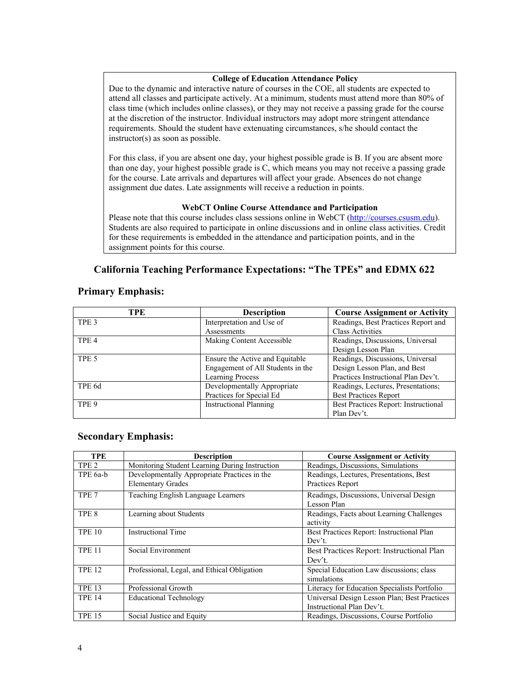# **College of Education Attendance Policy**

Due to the dynamic and interactive nature of courses in the COE, all students are expected to attend all classes and participate actively. At a minimum, students must attend more than 80% of class time (which includes online classes), or they may not receive a passing grade for the course at the discretion of the instructor. Individual instructors may adopt more stringent attendance requirements. Should the student have extenuating circumstances, s/he should contact the instructor(s) as soon as possible.

For this class, if you are absent one day, your highest possible grade is B. If you are absent more than one day, your highest possible grade is C, which means you may not receive a passing grade for the course. Late arrivals and departures will affect your grade. Absences do not change assignment due dates. Late assignments will receive a reduction in points.

### **WebCT Online Course Attendance and Participation**

Please note that this course includes class sessions online in WebCT (http://courses.csusm.edu). Students are also required to participate in online discussions and in online class activities. Credit for these requirements is embedded in the attendance and participation points, and in the assignment points for this course.

# **California Teaching Performance Expectations: "The TPEs" and EDMX 622**

# **Primary Emphasis:**

| TPE              | <b>Description</b>                | <b>Course Assignment or Activity</b> |
|------------------|-----------------------------------|--------------------------------------|
| TPE <sub>3</sub> | Interpretation and Use of         | Readings, Best Practices Report and  |
|                  | Assessments                       | <b>Class Activities</b>              |
| TPE <sub>4</sub> | Making Content Accessible         | Readings, Discussions, Universal     |
|                  |                                   | Design Lesson Plan                   |
| TPE 5            | Ensure the Active and Equitable   | Readings, Discussions, Universal     |
|                  | Engagement of All Students in the | Design Lesson Plan, and Best         |
|                  | <b>Learning Process</b>           | Practices Instructional Plan Dev't.  |
| TPE 6d           | Developmentally Appropriate       | Readings, Lectures, Presentations;   |
|                  | Practices for Special Ed          | <b>Best Practices Report</b>         |
| TPE 9            | <b>Instructional Planning</b>     | Best Practices Report: Instructional |
|                  |                                   | Plan Dev't.                          |

# **Secondary Emphasis:**

| <b>TPE</b>       | <b>Description</b>                                                       | <b>Course Assignment or Activity</b>                                      |
|------------------|--------------------------------------------------------------------------|---------------------------------------------------------------------------|
| TPE <sub>2</sub> | Monitoring Student Learning During Instruction                           | Readings, Discussions, Simulations                                        |
| TPE 6a-b         | Developmentally Appropriate Practices in the<br><b>Elementary Grades</b> | Readings, Lectures, Presentations, Best<br>Practices Report               |
| TPE <sub>7</sub> | Teaching English Language Learners                                       | Readings, Discussions, Universal Design<br>Lesson Plan                    |
| TPE <sub>8</sub> | Learning about Students                                                  | Readings, Facts about Learning Challenges<br>activity                     |
| <b>TPE 10</b>    | <b>Instructional Time</b>                                                | Best Practices Report: Instructional Plan<br>Dev't.                       |
| <b>TPE 11</b>    | Social Environment                                                       | Best Practices Report: Instructional Plan<br>Dev't.                       |
| <b>TPE 12</b>    | Professional, Legal, and Ethical Obligation                              | Special Education Law discussions; class<br>simulations                   |
| <b>TPE 13</b>    | Professional Growth                                                      | Literacy for Education Specialists Portfolio                              |
| <b>TPE 14</b>    | <b>Educational Technology</b>                                            | Universal Design Lesson Plan; Best Practices<br>Instructional Plan Dev't. |
| <b>TPE 15</b>    | Social Justice and Equity                                                | Readings, Discussions, Course Portfolio                                   |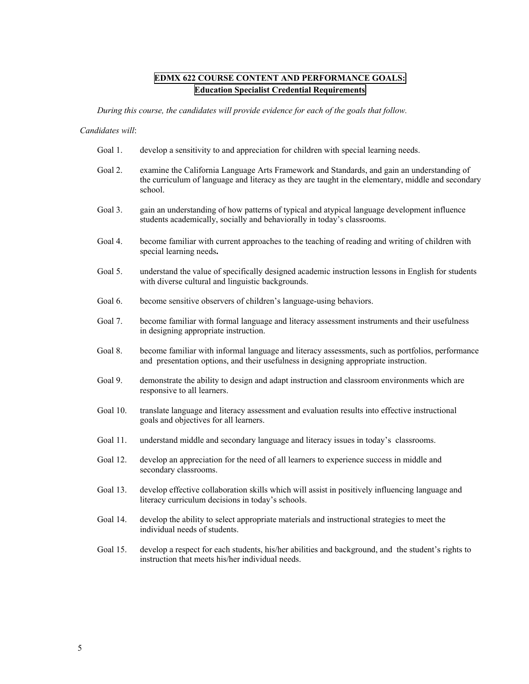# **EDMX 622 COURSE CONTENT AND PERFORMANCE GOALS: Education Specialist Credential Requirements**

*During this course, the candidates will provide evidence for each of the goals that follow.* 

#### *Candidates will*:

- Goal 1. develop a sensitivity to and appreciation for children with special learning needs.
- Goal 2. examine the California Language Arts Framework and Standards, and gain an understanding of the curriculum of language and literacy as they are taught in the elementary, middle and secondary school.
- Goal 3. gain an understanding of how patterns of typical and atypical language development influence students academically, socially and behaviorally in today's classrooms.
- Goal 4. become familiar with current approaches to the teaching of reading and writing of children with special learning needs**.**
- Goal 5. understand the value of specifically designed academic instruction lessons in English for students with diverse cultural and linguistic backgrounds.
- Goal 6. become sensitive observers of children's language-using behaviors.
- Goal 7. become familiar with formal language and literacy assessment instruments and their usefulness in designing appropriate instruction.
- Goal 8. become familiar with informal language and literacy assessments, such as portfolios, performance and presentation options, and their usefulness in designing appropriate instruction.
- Goal 9. demonstrate the ability to design and adapt instruction and classroom environments which are responsive to all learners.
- Goal 10. translate language and literacy assessment and evaluation results into effective instructional goals and objectives for all learners.
- Goal 11. understand middle and secondary language and literacy issues in today's classrooms.
- Goal 12. develop an appreciation for the need of all learners to experience success in middle and secondary classrooms.
- Goal 13. develop effective collaboration skills which will assist in positively influencing language and literacy curriculum decisions in today's schools.
- Goal 14. develop the ability to select appropriate materials and instructional strategies to meet the individual needs of students.
- Goal 15. develop a respect for each students, his/her abilities and background, and the student's rights to instruction that meets his/her individual needs.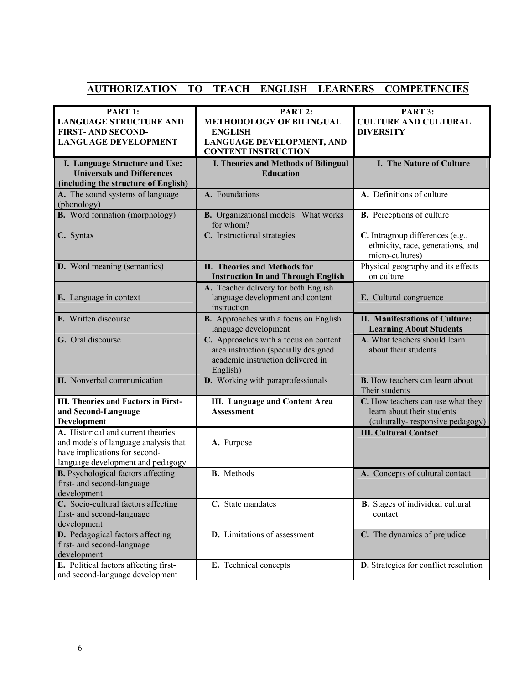# **AUTHORIZATION TO TEACH ENGLISH LEARNERS COMPETENCIES**

| PART 1:<br><b>LANGUAGE STRUCTURE AND</b><br><b>FIRST-AND SECOND-</b><br><b>LANGUAGE DEVELOPMENT</b>                                              | <b>PART 2:</b><br><b>METHODOLOGY OF BILINGUAL</b><br><b>ENGLISH</b><br>LANGUAGE DEVELOPMENT, AND<br><b>CONTENT INSTRUCTION</b> | PART 3:<br><b>CULTURE AND CULTURAL</b><br><b>DIVERSITY</b>                                          |
|--------------------------------------------------------------------------------------------------------------------------------------------------|--------------------------------------------------------------------------------------------------------------------------------|-----------------------------------------------------------------------------------------------------|
| I. Language Structure and Use:<br><b>Universals and Differences</b><br>(including the structure of English)                                      | <b>I. Theories and Methods of Bilingual</b><br><b>Education</b>                                                                | I. The Nature of Culture                                                                            |
| A. The sound systems of language<br>(phonology)                                                                                                  | A. Foundations                                                                                                                 | A. Definitions of culture                                                                           |
| <b>B.</b> Word formation (morphology)                                                                                                            | <b>B.</b> Organizational models: What works<br>for whom?                                                                       | <b>B.</b> Perceptions of culture                                                                    |
| C. Syntax                                                                                                                                        | C. Instructional strategies                                                                                                    | C. Intragroup differences (e.g.,<br>ethnicity, race, generations, and<br>micro-cultures)            |
| <b>D.</b> Word meaning (semantics)                                                                                                               | <b>II. Theories and Methods for</b><br><b>Instruction In and Through English</b>                                               | Physical geography and its effects<br>on culture                                                    |
| <b>E.</b> Language in context                                                                                                                    | A. Teacher delivery for both English<br>language development and content<br>instruction                                        | E. Cultural congruence                                                                              |
| F. Written discourse                                                                                                                             | B. Approaches with a focus on English<br>language development                                                                  | <b>II. Manifestations of Culture:</b><br><b>Learning About Students</b>                             |
| G. Oral discourse                                                                                                                                | C. Approaches with a focus on content<br>area instruction (specially designed<br>academic instruction delivered in<br>English) | A. What teachers should learn<br>about their students                                               |
| H. Nonverbal communication                                                                                                                       | D. Working with paraprofessionals                                                                                              | <b>B.</b> How teachers can learn about<br>Their students                                            |
| <b>III. Theories and Factors in First-</b><br>and Second-Language<br>Development                                                                 | <b>III.</b> Language and Content Area<br><b>Assessment</b>                                                                     | C. How teachers can use what they<br>learn about their students<br>(culturally-responsive pedagogy) |
| A. Historical and current theories<br>and models of language analysis that<br>have implications for second-<br>language development and pedagogy | A. Purpose                                                                                                                     | <b>III. Cultural Contact</b>                                                                        |
| <b>B.</b> Psychological factors affecting<br>first- and second-language<br>development                                                           | <b>B.</b> Methods                                                                                                              | A. Concepts of cultural contact                                                                     |
| C. Socio-cultural factors affecting<br>first- and second-language<br>development                                                                 | C. State mandates                                                                                                              | <b>B.</b> Stages of individual cultural<br>contact                                                  |
| D. Pedagogical factors affecting<br>first- and second-language<br>development                                                                    | D. Limitations of assessment                                                                                                   | C. The dynamics of prejudice                                                                        |
| E. Political factors affecting first-<br>and second-language development                                                                         | E. Technical concepts                                                                                                          | D. Strategies for conflict resolution                                                               |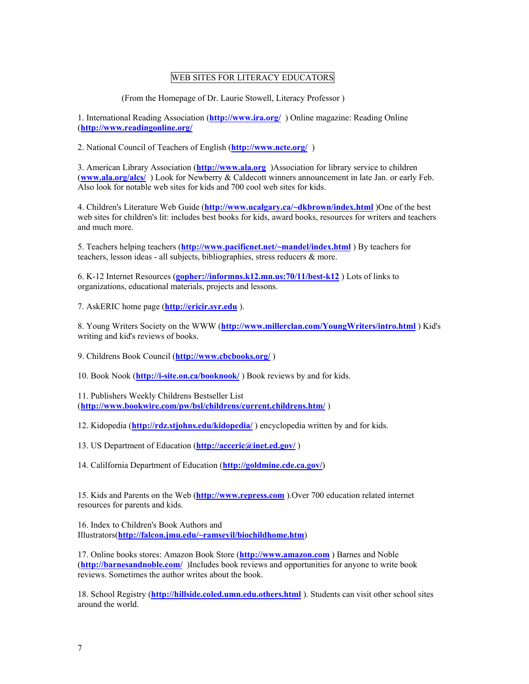# WEB SITES FOR LITERACY EDUCATORS

(From the Homepage of Dr. Laurie Stowell, Literacy Professor )

1. International Reading Association (**http://www.ira.org/** ) Online magazine: Reading Online (**http://www.readingonline.org/**

2. National Council of Teachers of English (**http://www.ncte.org/** )

3. American Library Association (**http://www.ala.org** )Association for library service to children (**www.ala.org/alcs/** ) Look for Newberry & Caldecott winners announcement in late Jan. or early Feb. Also look for notable web sites for kids and 700 cool web sites for kids.

4. Children's Literature Web Guide (**http://www.ucalgary.ca/~dkbrown/index.html** )One of the best web sites for children's lit: includes best books for kids, award books, resources for writers and teachers and much more.

5. Teachers helping teachers (**http://www.pacificnet.net/~mandel/index.html** ) By teachers for teachers, lesson ideas - all subjects, bibliographies, stress reducers & more.

6. K-12 Internet Resources (**gopher://informns.k12.mn.us:70/11/best-k12** ) Lots of links to organizations, educational materials, projects and lessons.

7. AskERIC home page (**http://ericir.syr.edu** ).

8. Young Writers Society on the WWW (**http://www.millerclan.com/YoungWriters/intro.html** ) Kid's writing and kid's reviews of books.

9. Childrens Book Council (**http://www.cbcbooks.org/** )

10. Book Nook (**http://i-site.on.ca/booknook/** ) Book reviews by and for kids.

11. Publishers Weekly Childrens Bestseller List (**http://www.bookwire.com/pw/bsl/childrens/current.childrens.htm/** )

12. Kidopedia (**http://rdz.stjohns.edu/kidopedia/** ) encyclopedia written by and for kids.

13. US Department of Education (**http://acceric@inet.ed.gov/** )

14. Calilfornia Department of Education (**http://goldmine.cde.ca.gov/**)

15. Kids and Parents on the Web (**http://www.repress.com** ).Over 700 education related internet resources for parents and kids.

16. Index to Children's Book Authors and Illustrators(**http://falcon.jmu.edu/~ramseyil/biochildhome.htm**)

17. Online books stores: Amazon Book Store (**http://www.amazon.com** ) Barnes and Noble (**http://barnesandnoble.com/** )Includes book reviews and opportunities for anyone to write book reviews. Sometimes the author writes about the book.

18. School Registry (**http://hillside.coled.umn.edu.others.html** ). Students can visit other school sites around the world.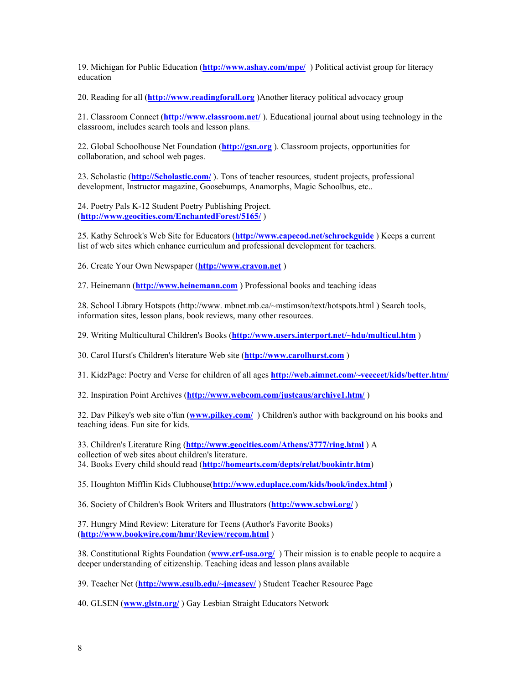19. Michigan for Public Education (**http://www.ashay.com/mpe/** ) Political activist group for literacy education

20. Reading for all (**http://www.readingforall.org** )Another literacy political advocacy group

21. Classroom Connect (**http://www.classroom.net/** ). Educational journal about using technology in the classroom, includes search tools and lesson plans.

22. Global Schoolhouse Net Foundation (**http://gsn.org** ). Classroom projects, opportunities for collaboration, and school web pages.

23. Scholastic (**http://Scholastic.com/** ). Tons of teacher resources, student projects, professional development, Instructor magazine, Goosebumps, Anamorphs, Magic Schoolbus, etc...

24. Poetry Pals K-12 Student Poetry Publishing Project. (**http://www.geocities.com/EnchantedForest/5165/** )

25. Kathy Schrock's Web Site for Educators (**http://www.capecod.net/schrockguide** ) Keeps a current list of web sites which enhance curriculum and professional development for teachers.

26. Create Your Own Newspaper (**http://www.crayon.net** )

27. Heinemann (**http://www.heinemann.com** ) Professional books and teaching ideas

28. School Library Hotspots (http://www. mbnet.mb.ca/~mstimson/text/hotspots.html ) Search tools, information sites, lesson plans, book reviews, many other resources.

29. Writing Multicultural Children's Books (**http://www.users.interport.net/~hdu/multicul.htm** )

30. Carol Hurst's Children's literature Web site (**http://www.carolhurst.com** )

31. KidzPage: Poetry and Verse for children of all ages **http://web.aimnet.com/~veeceet/kids/better.htm/**

32. Inspiration Point Archives (**http://www.webcom.com/justcaus/archive1.htm/** )

32. Dav Pilkey's web site o'fun (**www.pilkey.com/** ) Children's author with background on his books and teaching ideas. Fun site for kids.

33. Children's Literature Ring (**http://www.geocities.com/Athens/3777/ring.html** ) A collection of web sites about children's literature. 34. Books Every child should read (**http://homearts.com/depts/relat/bookintr.htm**)

35. Houghton Mifflin Kids Clubhouse(**http://www.eduplace.com/kids/book/index.html** )

36. Society of Children's Book Writers and Illustrators (**http://www.scbwi.org/** )

37. Hungry Mind Review: Literature for Teens (Author's Favorite Books) (**http://www.bookwire.com/hmr/Review/recom.html** )

38. Constitutional Rights Foundation (**www.crf-usa.org/** ) Their mission is to enable people to acquire a deeper understanding of citizenship. Teaching ideas and lesson plans available

39. Teacher Net (**http://www.csulb.edu/~jmcasey/** ) Student Teacher Resource Page

40. GLSEN (**www.glstn.org/** ) Gay Lesbian Straight Educators Network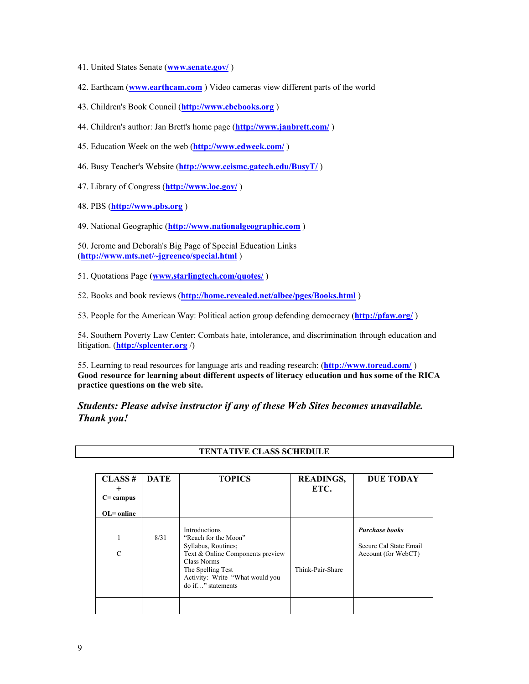- 41. United States Senate (**www.senate.gov/** )
- 42. Earthcam (**www.earthcam.com** ) Video cameras view different parts of the world
- 43. Children's Book Council (**http://www.cbcbooks.org** )
- 44. Children's author: Jan Brett's home page (**http://www.janbrett.com/** )
- 45. Education Week on the web (**http://www.edweek.com/** )
- 46. Busy Teacher's Website (**http://www.ceismc.gatech.edu/BusyT/** )
- 47. Library of Congress (**http://www.loc.gov/** )
- 48. PBS (**http://www.pbs.org** )
- 49. National Geographic (**http://www.nationalgeographic.com** )

50. Jerome and Deborah's Big Page of Special Education Links (**http://www.mts.net/~jgreenco/special.html** )

- 51. Quotations Page (**www.starlingtech.com/quotes/** )
- 52. Books and book reviews (**http://home.revealed.net/albee/pges/Books.html** )

53. People for the American Way: Political action group defending democracy (**http://pfaw.org/** )

54. Southern Poverty Law Center: Combats hate, intolerance, and discrimination through education and litigation. (**http://splcenter.org** /)

55. Learning to read resources for language arts and reading research: (**http://www.toread.com/** ) **Good resource for learning about different aspects of literacy education and has some of the RICA practice questions on the web site.** 

*Students: Please advise instructor if any of these Web Sites becomes unavailable. Thank you!* 

| CLASS#<br>$\pm$<br>$C =$ campus<br>$OL = online$ | <b>DATE</b> | <b>TOPICS</b>                                                                                                                                                                                | <b>READINGS,</b><br>ETC. | <b>DUE TODAY</b>                                                       |
|--------------------------------------------------|-------------|----------------------------------------------------------------------------------------------------------------------------------------------------------------------------------------------|--------------------------|------------------------------------------------------------------------|
| $\mathcal{C}$                                    | 8/31        | Introductions<br>"Reach for the Moon"<br>Syllabus, Routines;<br>Text & Online Components preview<br>Class Norms<br>The Spelling Test<br>Activity: Write "What would you<br>do if" statements | Think-Pair-Share         | <b>Purchase books</b><br>Secure Cal State Email<br>Account (for WebCT) |

### **TENTATIVE CLASS SCHEDULE**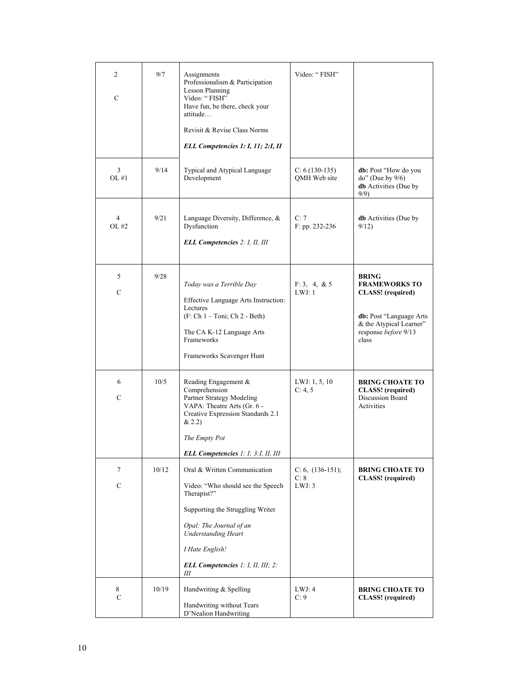| 2<br>$\mathcal{C}$      | 9/7   | Assignments<br>Professionalism & Participation<br><b>Lesson Planning</b><br>Video: "FISH"<br>Have fun, be there, check your<br>attitude<br>Revisit & Revise Class Norms<br>ELL Competencies 1: I, 11; 2:I, II                                      | Video: "FISH"                        |                                                                                                                                                         |
|-------------------------|-------|----------------------------------------------------------------------------------------------------------------------------------------------------------------------------------------------------------------------------------------------------|--------------------------------------|---------------------------------------------------------------------------------------------------------------------------------------------------------|
| 3<br>OL#1               | 9/14  | Typical and Atypical Language<br>Development                                                                                                                                                                                                       | $C: 6(130-135)$<br>QMH Web site      | db: Post "How do you<br>$do$ " (Due by $9/6$ )<br><b>db</b> Activities (Due by<br>9/9                                                                   |
| $\overline{4}$<br>OL #2 | 9/21  | Language Diversity, Difference, &<br>Dysfunction<br><b>ELL Competencies 2: I, II, III</b>                                                                                                                                                          | C:7<br>F: pp. 232-236                | <b>db</b> Activities (Due by<br>9/12                                                                                                                    |
| 5<br>$\mathcal{C}$      | 9/28  | Today was a Terrible Day<br>Effective Language Arts Instruction:<br>Lectures<br>(F: Ch 1 – Toni; Ch 2 - Beth)<br>The CA K-12 Language Arts<br>Frameworks<br>Frameworks Scavenger Hunt                                                              | F: 3, 4, 8, 5<br>LWJ:1               | <b>BRING</b><br><b>FRAMEWORKS TO</b><br><b>CLASS!</b> (required)<br>db: Post "Language Arts<br>& the Atypical Learner"<br>response before 9/13<br>class |
| 6<br>C                  | 10/5  | Reading Engagement &<br>Comprehension<br>Partner Strategy Modeling<br>VAPA: Theatre Arts (Gr. 6 -<br>Creative Expression Standards 2.1<br>& 2.2)<br>The Empty Pot<br>ELL Competencies 1: 1; 3:1, II, III                                           | LWJ: $1, 5, 10$<br>C: 4, 5           | <b>BRING CHOATE TO</b><br><b>CLASS!</b> (required)<br>Discussion Board<br>Activities                                                                    |
| 7<br>$\mathbf C$        | 10/12 | Oral & Written Communication<br>Video: "Who should see the Speech<br>Therapist?"<br>Supporting the Struggling Writer<br>Opal: The Journal of an<br><b>Understanding Heart</b><br>I Hate English!<br><b>ELL Competencies</b> 1: I, II, III; 2:<br>Ш | $C: 6, (136-151);$<br>C: 8<br>LWJ: 3 | <b>BRING CHOATE TO</b><br><b>CLASS!</b> (required)                                                                                                      |
| 8<br>$\mathbf C$        | 10/19 | Handwriting & Spelling<br>Handwriting without Tears<br>D'Nealion Handwriting                                                                                                                                                                       | LWJ: 4<br>C: 9                       | <b>BRING CHOATE TO</b><br><b>CLASS!</b> (required)                                                                                                      |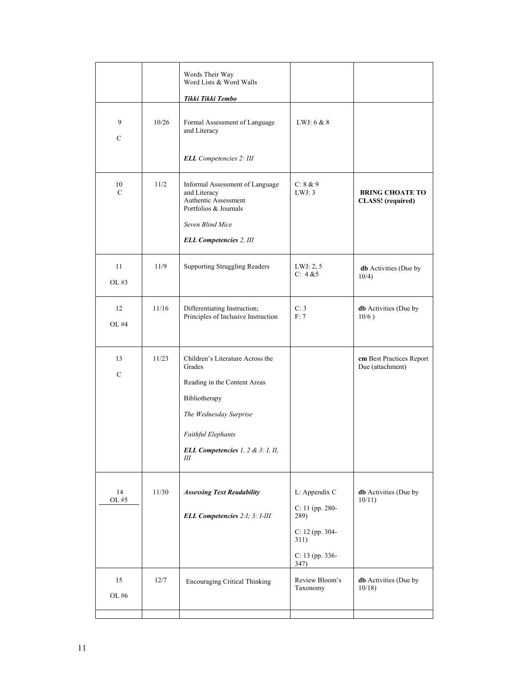|                     |       | Words Their Way<br>Word Lists & Word Walls<br>Tikki Tikki Tembo                                                      |                            |                                                    |
|---------------------|-------|----------------------------------------------------------------------------------------------------------------------|----------------------------|----------------------------------------------------|
| 9<br>$\mathbf C$    | 10/26 | Formal Assessment of Language<br>and Literacy                                                                        | LWJ: $6 & 8$               |                                                    |
|                     |       | <b>ELL</b> Competencies 2: III                                                                                       |                            |                                                    |
| 10<br>$\mathcal{C}$ | 11/2  | Informal Assessment of Language<br>and Literacy<br>Authentic Assessment<br>Portfolios & Journals<br>Seven Blind Mice | C: 8 & 9<br>LWJ: 3         | <b>BRING CHOATE TO</b><br><b>CLASS!</b> (required) |
|                     |       | <b>ELL Competencies 2, III</b>                                                                                       |                            |                                                    |
| 11<br>OL #3         | 11/9  | <b>Supporting Struggling Readers</b>                                                                                 | LWJ: 2, 5<br>C: 4 & 5      | <b>db</b> Activities (Due by<br>10/4)              |
| 12<br>OL #4         | 11/16 | Differentiating Instruction;<br>Principles of Inclusive Instruction                                                  | C: 3<br>F: 7               | <b>db</b> Activities (Due by<br>10/6)              |
| 13                  | 11/23 | Children's Literature Across the<br>Grades                                                                           |                            | cm Best Practices Report<br>Due (attachment)       |
| $\mathbf C$         |       | Reading in the Content Areas                                                                                         |                            |                                                    |
|                     |       | Bibliotherapy                                                                                                        |                            |                                                    |
|                     |       | The Wednesday Surprise                                                                                               |                            |                                                    |
|                     |       | <b>Faithful Elephants</b>                                                                                            |                            |                                                    |
|                     |       | ELL Competencies 1, 2 & 3: I, II,<br>Ш                                                                               |                            |                                                    |
| 14                  | 11/30 | <b>Assessing Text Readability</b>                                                                                    | L: Appendix C              | <b>db</b> Activities (Due by                       |
| OL #5               |       | ELL Competencies 2:1; 3: I-III                                                                                       | $C: 11$ (pp. 280-<br>289)  | 10/11                                              |
|                     |       |                                                                                                                      | C: 12 (pp. 304-<br>311)    |                                                    |
|                     |       |                                                                                                                      | C: $13$ (pp. 336-<br>347)  |                                                    |
| 15<br>OL #6         | 12/7  | <b>Encouraging Critical Thinking</b>                                                                                 | Review Bloom's<br>Taxonomy | db Activities (Due by<br>10/18                     |
|                     |       |                                                                                                                      |                            |                                                    |